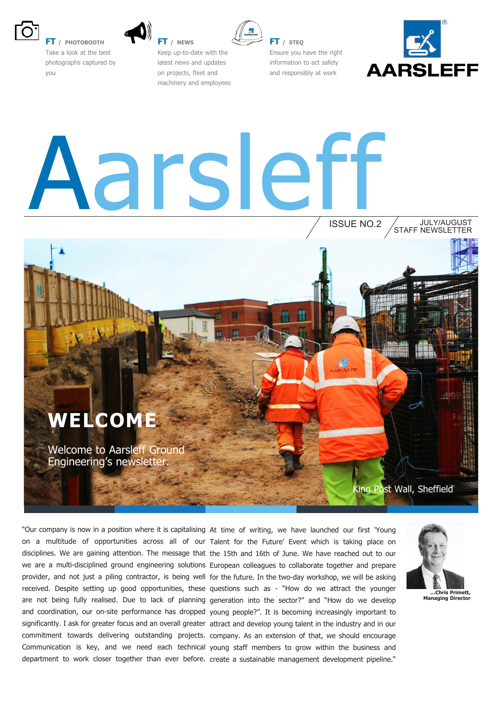

**FT / PHOTOBOOTH** Take a look at the best photographs captured by you



**FT / NEWS** Keep up-to-date with the latest news and updates on projects, fleet and machinery and employees



**FT / STEQ** Ensure you have the right information to act safety and responsibly at work



# Aarsleff

ISSUE NO.2 STAFF NEWSLETTER JULY/AUGUST

### **WELCOME**

Welcome to Aarsleff Ground Engineering's newsletter.

King Post Wall, Sheffield

"Our company is now in a position where it is capitalising At time of writing, we have launched our first 'Young department to work closer together than ever before. create a sustainable management development pipeline."

on a multitude of opportunities across all of our Talent for the Future' Event which is taking place on disciplines. We are gaining attention. The message that the 15th and 16th of June. We have reached out to our we are a multi-disciplined ground engineering solutions European colleagues to collaborate together and prepare provider, and not just a piling contractor, is being well for the future. In the two-day workshop, we will be asking received. Despite setting up good opportunities, these questions such as - "How do we attract the younger are not being fully realised. Due to lack of planning generation into the sector?" and "How do we develop and coordination, our on-site performance has dropped young people?". It is becoming increasingly important to significantly. I ask for greater focus and an overall greater attract and develop young talent in the industry and in our commitment towards delivering outstanding projects. company. As an extension of that, we should encourage Communication is key, and we need each technical young staff members to grow within the business and



**…Chris Primett, Managing Director**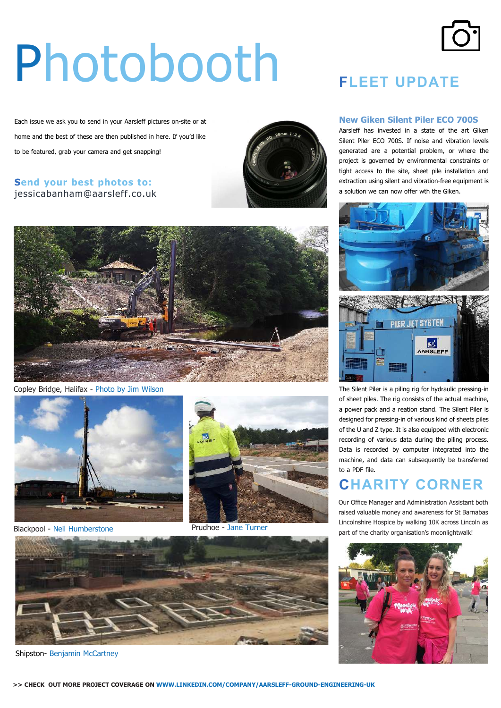# Photobooth

Each issue we ask you to send in your Aarsleff pictures on-site or at home and the best of these are then published in here. If you'd like to be featured, grab your camera and get snapping!

#### **Send your best photos to:** jessicabanham@aarsleff.co.uk





Copley Bridge, Halifax - Photo by Jim Wilson





Blackpool - Neil Humberstone **Prudhoe - Jane Turner** 



Shipston- Benjamin McCartney



#### **New Giken Silent Piler ECO 700S**

Aarsleff has invested in a state of the art Giken Silent Piler ECO 700S. If noise and vibration levels generated are a potential problem, or where the project is governed by environmental constraints or tight access to the site, sheet pile installation and extraction using silent and vibration-free equipment is a solution we can now offer wth the Giken.





The Silent Piler is a piling rig for hydraulic pressing-in of sheet piles. The rig consists of the actual machine, a power pack and a reation stand. The Silent Piler is designed for pressing-in of various kind of sheets piles of the U and Z type. It is also equipped with electronic recording of various data during the piling process. Data is recorded by computer integrated into the machine, and data can subsequently be transferred to a PDF file.

#### **CHARITY CORNER**

Our Ofice Manager and Administration Assistant both raised valuable money and awareness for St Barnabas Lincolnshire Hospice by walking 10K across Lincoln as part of the charity organisation's moonlightwalk!



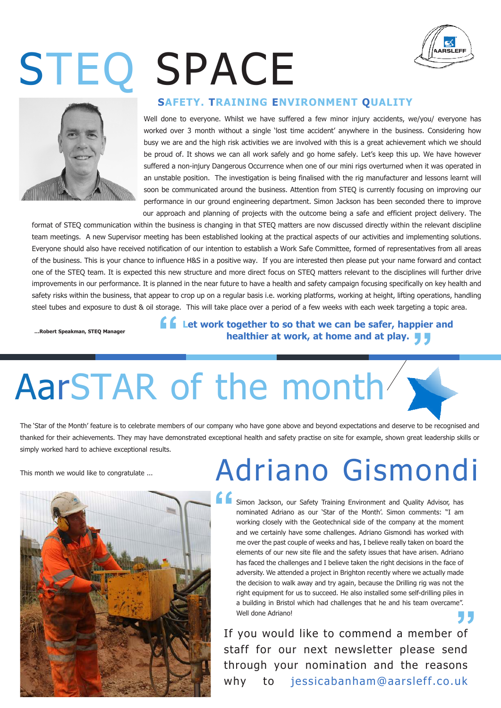## STEQ SPACE





#### **SAFETY. TRAINING ENVIRONMENT QUALITY**

Well done to everyone. Whilst we have suffered a few minor injury accidents, we/you/ everyone has worked over 3 month without a single 'lost time accident' anywhere in the business. Considering how busy we are and the high risk activities we are involved with this is a great achievement which we should be proud of. It shows we can all work safely and go home safely. Let's keep this up. We have however suffered a non-injury Dangerous Occurrence when one of our mini rigs overturned when it was operated in an unstable position. The investigation is being finalised with the rig manufacturer and lessons learnt will soon be communicated around the business. Attention from STEQ is currently focusing on improving our performance in our ground engineering department. Simon Jackson has been seconded there to improve our approach and planning of projects with the outcome being a safe and efficient project delivery. The

format of STEQ communication within the business is changing in that STEQ matters are now discussed directly within the relevant discipline team meetings. A new Supervisor meeting has been established looking at the practical aspects of our activities and implementing solutions. Everyone should also have received notification of our intention to establish a Work Safe Committee, formed of representatives from all areas of the business. This is your chance to influence H&S in a positive way. If you are interested then please put your name forward and contact one of the STEQ team. It is expected this new structure and more direct focus on STEQ matters relevant to the disciplines will further drive improvements in our performance. It is planned in the near future to have a health and safety campaign focusing specifically on key health and safety risks within the business, that appear to crop up on a regular basis i.e. working platforms, working at height, lifting operations, handling steel tubes and exposure to dust & oil storage. This will take place over a period of a few weeks with each week targeting a topic area.

**…Robert Speakman, STEQ Manager**

**"** pier<br><mark>,</mark> **Let work together to so that we can be safer, happier and healthier at work, at home and at play.**

### AarSTAR of the month

The 'Star of the Month' feature is to celebrate members of our company who have gone above and beyond expectations and deserve to be recognised and thanked for their achievements. They may have demonstrated exceptional health and safety practise on site for example, shown great leadership skills or simply worked hard to achieve exceptional results.



### This month we would like to congratulate ... **Adriano Gismondi**

Simon Jackson, our Safety Training Environment and Quality Advisor, has nominated Adriano as our 'Star of the Month'. Simon comments: "I am working closely with the Geotechnical side of the company at the moment and we certainly have some challenges. Adriano Gismondi has worked with me over the past couple of weeks and has, I believe really taken on board the elements of our new site file and the safety issues that have arisen. Adriano has faced the challenges and I believe taken the right decisions in the face of adversity. We attended a project in Brighton recently where we actually made the decision to walk away and try again, because the Drilling rig was not the right equipment for us to succeed. He also installed some self-drilling piles in a building in Bristol which had challenges that he and his team overcame". Well done Adriano!

a building in Bristol which had challenges that he and his team overcame".<br>
Well done Adriano!<br> **If you would like to commend a member of** staff for our next newsletter please send through your nomination and the reasons why to jessicabanham@aarsleff.co.uk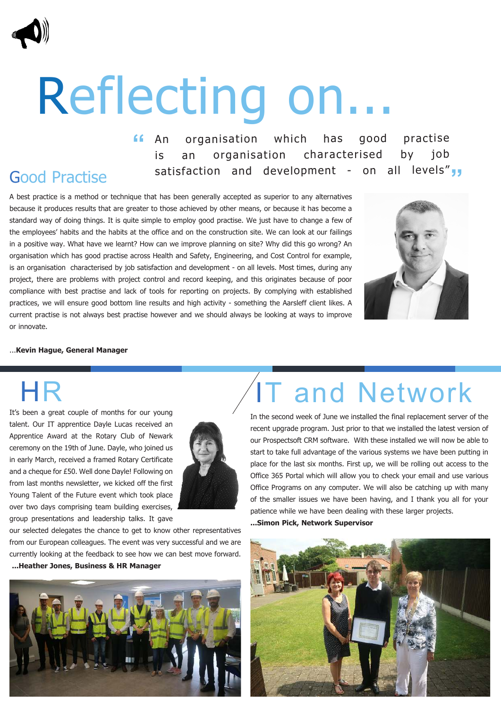# Reflecting on...

organisation which has good practise is an organisation characterised by job satisfaction and development - on all levels" **" ""** An

### Good Practise

A best practice is a method or technique that has been generally accepted as superior to any alternatives because it produces results that are greater to those achieved by other means, or because it has become a standard way of doing things. It is quite simple to employ good practise. We just have to change a few of the employees' habits and the habits at the office and on the construction site. We can look at our failings in a positive way. What have we learnt? How can we improve planning on site? Why did this go wrong? An organisation which has good practise across Health and Safety, Engineering, and Cost Control for example, is an organisation characterised by job satisfaction and development - on all levels. Most times, during any project, there are problems with project control and record keeping, and this originates because of poor compliance with best practise and lack of tools for reporting on projects. By complying with established practices, we will ensure good bottom line results and high activity - something the Aarsleff client likes. A current practise is not always best practise however and we should always be looking at ways to improve or innovate.



#### ...**Kevin Hague, General Manager**

HR

It's been a great couple of months for our young talent. Our IT apprentice Dayle Lucas received an Apprentice Award at the Rotary Club of Newark ceremony on the 19th of June. Dayle, who joined us in early March, received a framed Rotary Certificate and a cheque for £50. Well done Dayle! Following on from last months newsletter, we kicked off the first Young Talent of the Future event which took place over two days comprising team building exercises, group presentations and leadership talks. It gave



our selected delegates the chance to get to know other representatives from our European colleagues. The event was very successful and we are currently looking at the feedback to see how we can best move forward. **...Heather Jones, Business & HR Manager** 



### IT and Network

In the second week of June we installed the final replacement server of the recent upgrade program. Just prior to that we installed the latest version of our Prospectsoft CRM software. With these installed we will now be able to start to take full advantage of the various systems we have been putting in place for the last six months. First up, we will be rolling out access to the Office 365 Portal which will allow you to check your email and use various Office Programs on any computer. We will also be catching up with many of the smaller issues we have been having, and I thank you all for your patience while we have been dealing with these larger projects.

**...Simon Pick, Network Supervisor** 

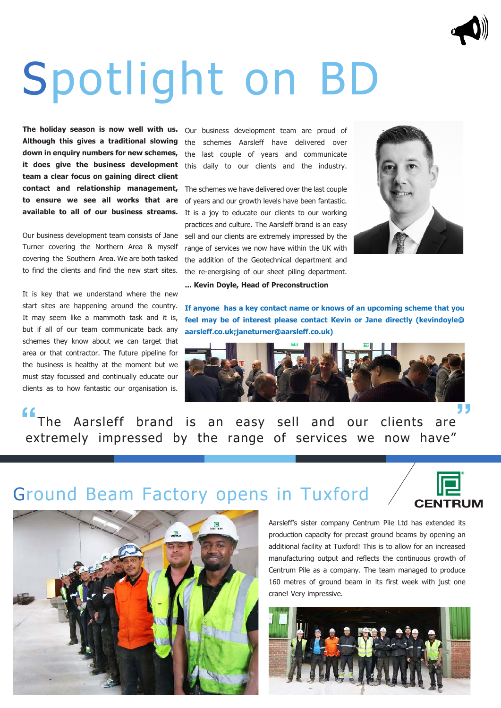### Spotlight on BD

**The holiday season is now well with us. Although this gives a traditional slowing down in enquiry numbers for new schemes, it does give the business development team a clear focus on gaining direct client contact and relationship management, to ensure we see all works that are available to all of our business streams.**

Our business development team consists of Jane Turner covering the Northern Area & myself covering the Southern Area. We are both tasked to find the clients and find the new start sites.

It is key that we understand where the new start sites are happening around the country. It may seem like a mammoth task and it is, but if all of our team communicate back any schemes they know about we can target that area or that contractor. The future pipeline for the business is healthy at the moment but we must stay focussed and continually educate our clients as to how fantastic our organisation is.

Our business development team are proud of the schemes Aarsleff have delivered over the last couple of years and communicate this daily to our clients and the industry.

The schemes we have delivered over the last couple of years and our growth levels have been fantastic. It is a joy to educate our clients to our working practices and culture. The Aarsleff brand is an easy sell and our clients are extremely impressed by the range of services we now have within the UK with the addition of the Geotechnical department and the re-energising of our sheet piling department.



**... Kevin Doyle, Head of Preconstruction** 

**If anyone has a key contact name or knows of an upcoming scheme that you feel may be of interest please contact Kevin or Jane directly (kevindoyle@ aarsleff.co.uk;janeturner@aarsleff.co.uk)**



 The Aarsleff brand is an easy sell and our clients are **" "** extremely impressed by the range of services we now have"

### Ground Beam Factory opens in Tuxford





Aarsleff's sister company Centrum Pile Ltd has extended its production capacity for precast ground beams by opening an additional facility at Tuxford! This is to allow for an increased manufacturing output and reflects the continuous growth of Centrum Pile as a company. The team managed to produce 160 metres of ground beam in its first week with just one crane! Very impressive.